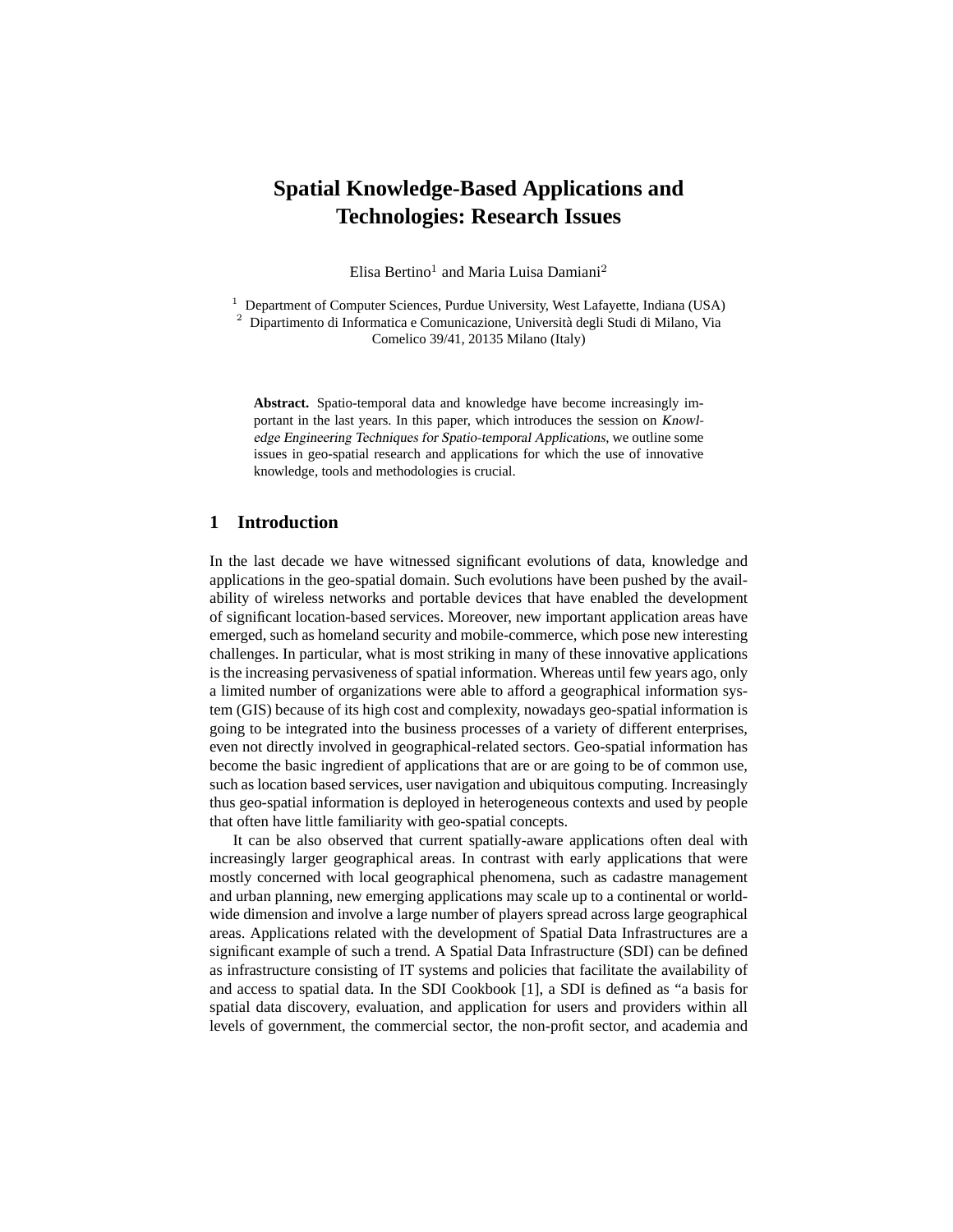# **Spatial Knowledge-Based Applications and Technologies: Research Issues**

Elisa Bertino<sup>1</sup> and Maria Luisa Damiani<sup>2</sup>

<sup>1</sup> Department of Computer Sciences, Purdue University, West Lafayette, Indiana (USA)

<sup>2</sup> Dipartimento di Informatica e Comunicazione, Universita degli Studi di Milano, Via ` Comelico 39/41, 20135 Milano (Italy)

**Abstract.** Spatio-temporal data and knowledge have become increasingly important in the last years. In this paper, which introduces the session on Knowledge Engineering Techniques for Spatio-temporal Applications, we outline some issues in geo-spatial research and applications for which the use of innovative knowledge, tools and methodologies is crucial.

## **1 Introduction**

In the last decade we have witnessed significant evolutions of data, knowledge and applications in the geo-spatial domain. Such evolutions have been pushed by the availability of wireless networks and portable devices that have enabled the development of significant location-based services. Moreover, new important application areas have emerged, such as homeland security and mobile-commerce, which pose new interesting challenges. In particular, what is most striking in many of these innovative applications is the increasing pervasiveness of spatial information. Whereas until few years ago, only a limited number of organizations were able to afford a geographical information system (GIS) because of its high cost and complexity, nowadays geo-spatial information is going to be integrated into the business processes of a variety of different enterprises, even not directly involved in geographical-related sectors. Geo-spatial information has become the basic ingredient of applications that are or are going to be of common use, such as location based services, user navigation and ubiquitous computing. Increasingly thus geo-spatial information is deployed in heterogeneous contexts and used by people that often have little familiarity with geo-spatial concepts.

It can be also observed that current spatially-aware applications often deal with increasingly larger geographical areas. In contrast with early applications that were mostly concerned with local geographical phenomena, such as cadastre management and urban planning, new emerging applications may scale up to a continental or worldwide dimension and involve a large number of players spread across large geographical areas. Applications related with the development of Spatial Data Infrastructures are a significant example of such a trend. A Spatial Data Infrastructure (SDI) can be defined as infrastructure consisting of IT systems and policies that facilitate the availability of and access to spatial data. In the SDI Cookbook [1], a SDI is defined as "a basis for spatial data discovery, evaluation, and application for users and providers within all levels of government, the commercial sector, the non-profit sector, and academia and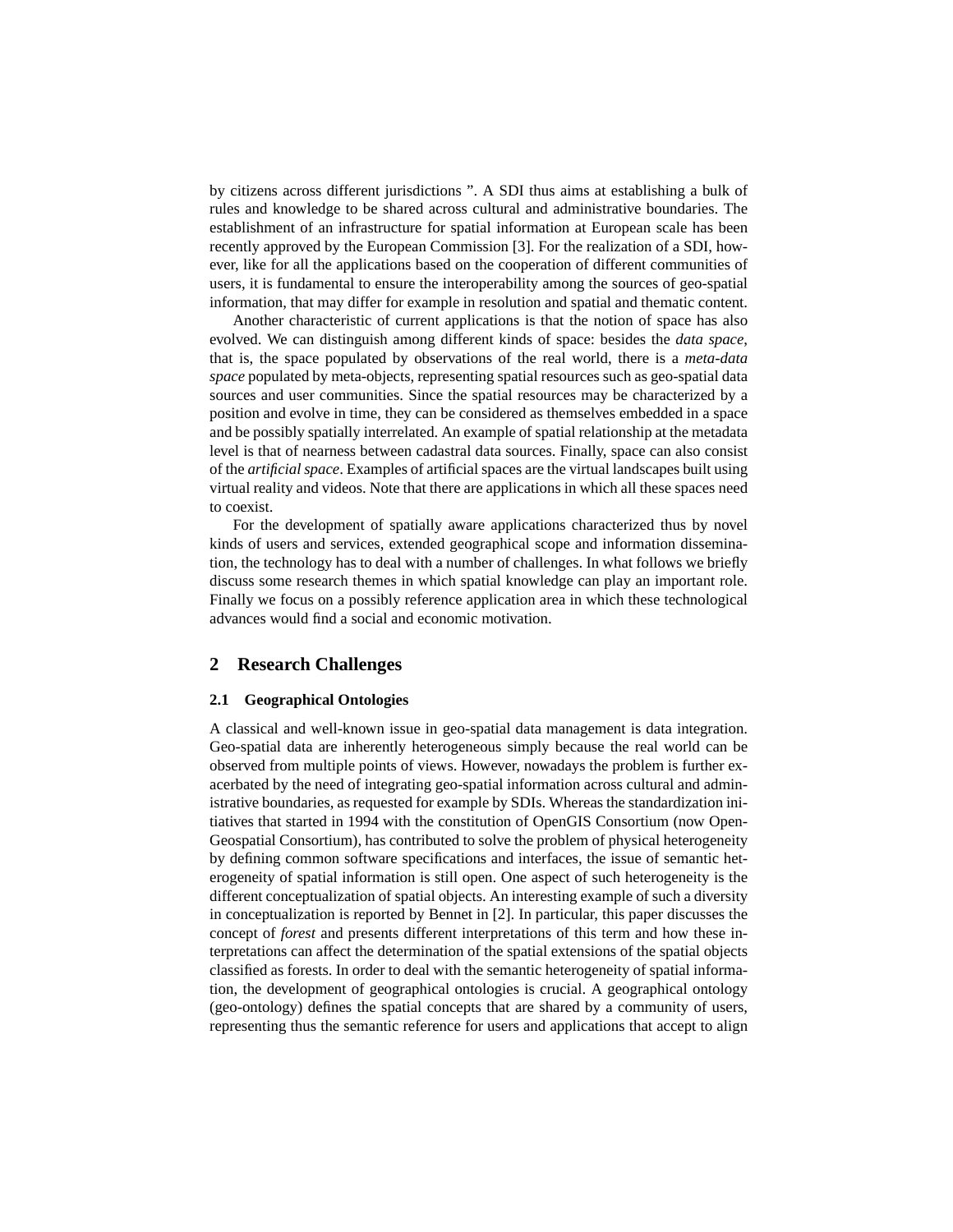by citizens across different jurisdictions ". A SDI thus aims at establishing a bulk of rules and knowledge to be shared across cultural and administrative boundaries. The establishment of an infrastructure for spatial information at European scale has been recently approved by the European Commission [3]. For the realization of a SDI, however, like for all the applications based on the cooperation of different communities of users, it is fundamental to ensure the interoperability among the sources of geo-spatial information, that may differ for example in resolution and spatial and thematic content.

Another characteristic of current applications is that the notion of space has also evolved. We can distinguish among different kinds of space: besides the *data space*, that is, the space populated by observations of the real world, there is a *meta-data space* populated by meta-objects, representing spatial resources such as geo-spatial data sources and user communities. Since the spatial resources may be characterized by a position and evolve in time, they can be considered as themselves embedded in a space and be possibly spatially interrelated. An example of spatial relationship at the metadata level is that of nearness between cadastral data sources. Finally, space can also consist of the *artificial space*. Examples of artificial spaces are the virtual landscapes built using virtual reality and videos. Note that there are applications in which all these spaces need to coexist.

For the development of spatially aware applications characterized thus by novel kinds of users and services, extended geographical scope and information dissemination, the technology has to deal with a number of challenges. In what follows we briefly discuss some research themes in which spatial knowledge can play an important role. Finally we focus on a possibly reference application area in which these technological advances would find a social and economic motivation.

## **2 Research Challenges**

#### **2.1 Geographical Ontologies**

A classical and well-known issue in geo-spatial data management is data integration. Geo-spatial data are inherently heterogeneous simply because the real world can be observed from multiple points of views. However, nowadays the problem is further exacerbated by the need of integrating geo-spatial information across cultural and administrative boundaries, as requested for example by SDIs. Whereas the standardization initiatives that started in 1994 with the constitution of OpenGIS Consortium (now Open-Geospatial Consortium), has contributed to solve the problem of physical heterogeneity by defining common software specifications and interfaces, the issue of semantic heterogeneity of spatial information is still open. One aspect of such heterogeneity is the different conceptualization of spatial objects. An interesting example of such a diversity in conceptualization is reported by Bennet in [2]. In particular, this paper discusses the concept of *forest* and presents different interpretations of this term and how these interpretations can affect the determination of the spatial extensions of the spatial objects classified as forests. In order to deal with the semantic heterogeneity of spatial information, the development of geographical ontologies is crucial. A geographical ontology (geo-ontology) defines the spatial concepts that are shared by a community of users, representing thus the semantic reference for users and applications that accept to align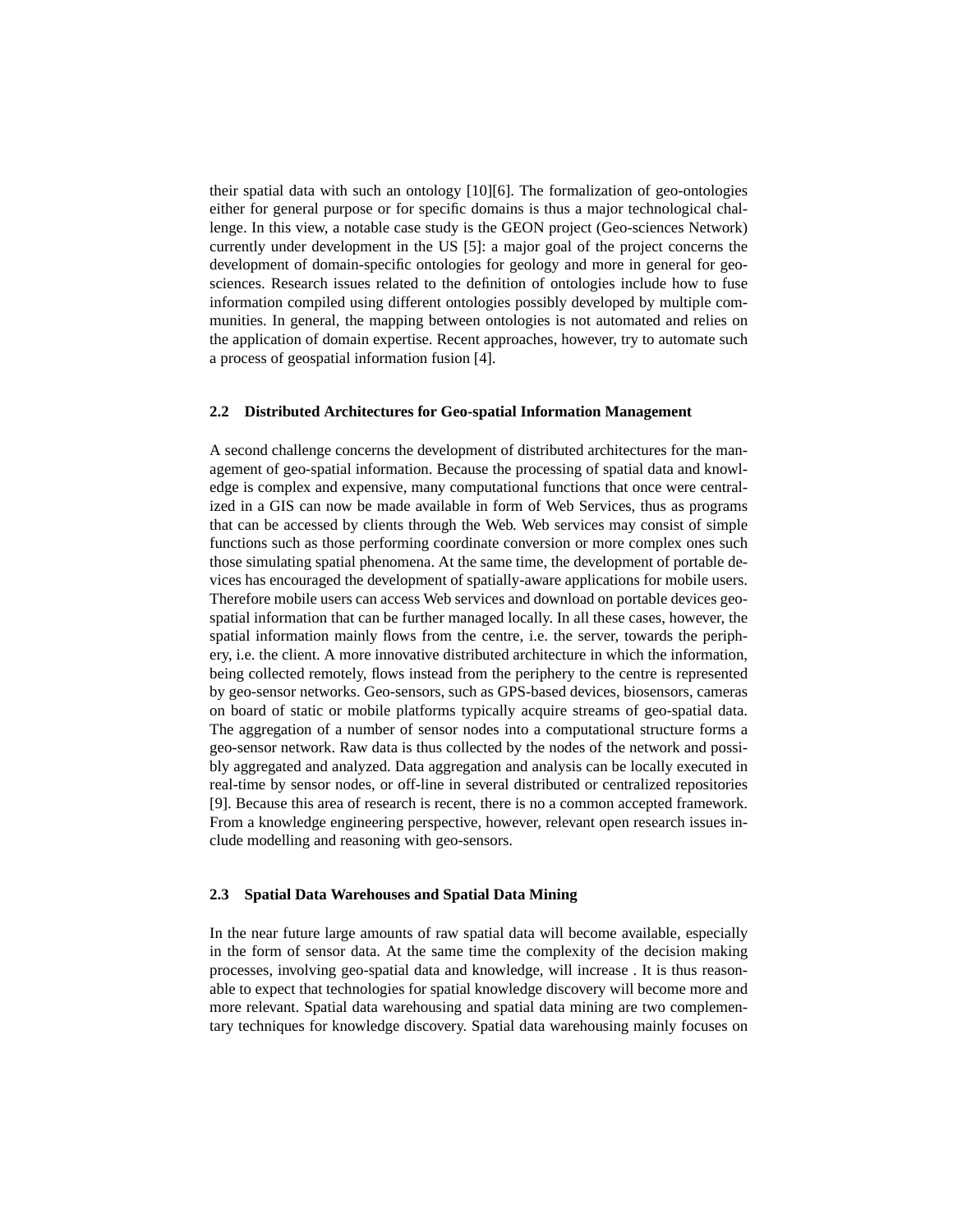their spatial data with such an ontology [10][6]. The formalization of geo-ontologies either for general purpose or for specific domains is thus a major technological challenge. In this view, a notable case study is the GEON project (Geo-sciences Network) currently under development in the US [5]: a major goal of the project concerns the development of domain-specific ontologies for geology and more in general for geosciences. Research issues related to the definition of ontologies include how to fuse information compiled using different ontologies possibly developed by multiple communities. In general, the mapping between ontologies is not automated and relies on the application of domain expertise. Recent approaches, however, try to automate such a process of geospatial information fusion [4].

#### **2.2 Distributed Architectures for Geo-spatial Information Management**

A second challenge concerns the development of distributed architectures for the management of geo-spatial information. Because the processing of spatial data and knowledge is complex and expensive, many computational functions that once were centralized in a GIS can now be made available in form of Web Services, thus as programs that can be accessed by clients through the Web. Web services may consist of simple functions such as those performing coordinate conversion or more complex ones such those simulating spatial phenomena. At the same time, the development of portable devices has encouraged the development of spatially-aware applications for mobile users. Therefore mobile users can access Web services and download on portable devices geospatial information that can be further managed locally. In all these cases, however, the spatial information mainly flows from the centre, i.e. the server, towards the periphery, i.e. the client. A more innovative distributed architecture in which the information, being collected remotely, flows instead from the periphery to the centre is represented by geo-sensor networks. Geo-sensors, such as GPS-based devices, biosensors, cameras on board of static or mobile platforms typically acquire streams of geo-spatial data. The aggregation of a number of sensor nodes into a computational structure forms a geo-sensor network. Raw data is thus collected by the nodes of the network and possibly aggregated and analyzed. Data aggregation and analysis can be locally executed in real-time by sensor nodes, or off-line in several distributed or centralized repositories [9]. Because this area of research is recent, there is no a common accepted framework. From a knowledge engineering perspective, however, relevant open research issues include modelling and reasoning with geo-sensors.

#### **2.3 Spatial Data Warehouses and Spatial Data Mining**

In the near future large amounts of raw spatial data will become available, especially in the form of sensor data. At the same time the complexity of the decision making processes, involving geo-spatial data and knowledge, will increase . It is thus reasonable to expect that technologies for spatial knowledge discovery will become more and more relevant. Spatial data warehousing and spatial data mining are two complementary techniques for knowledge discovery. Spatial data warehousing mainly focuses on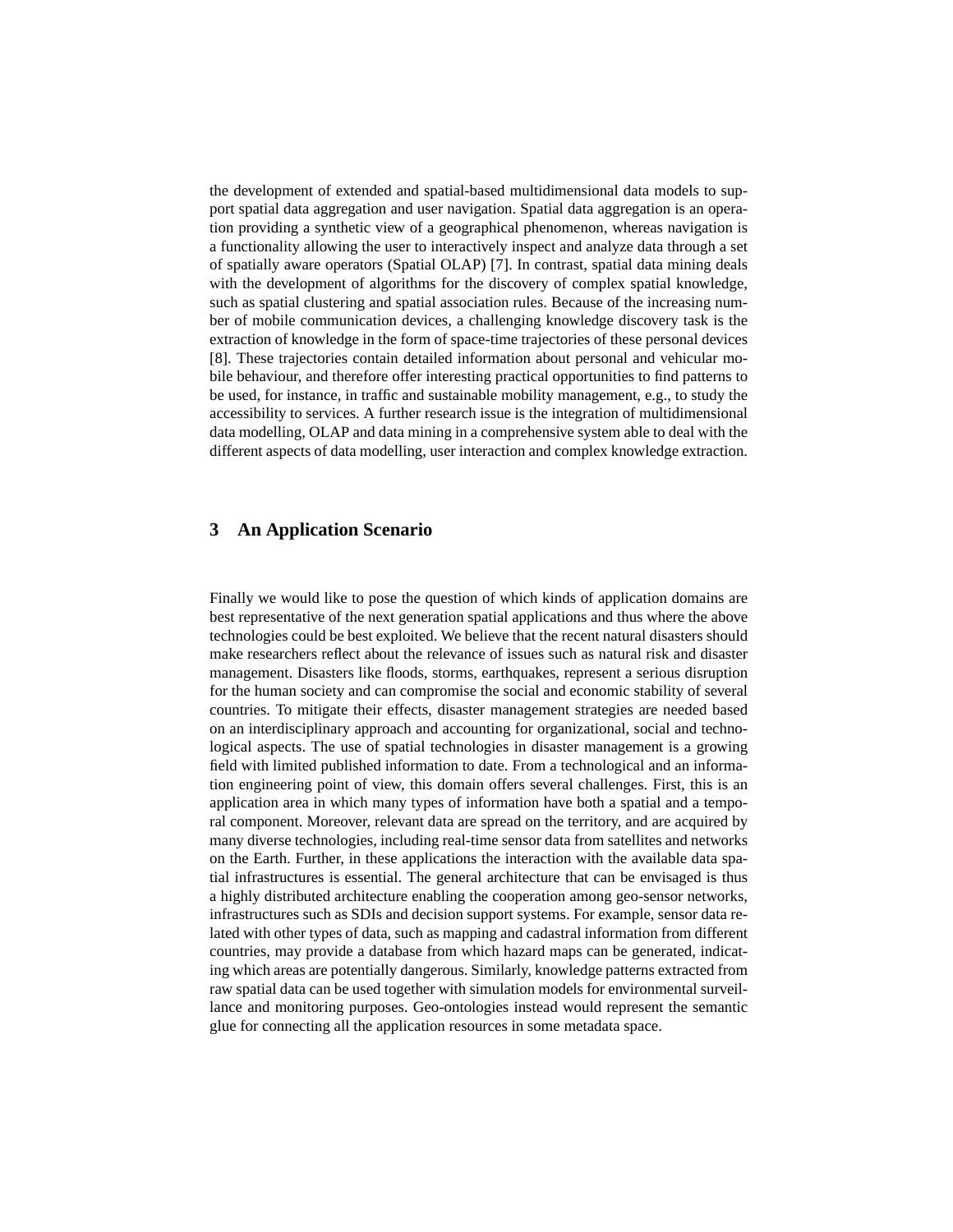the development of extended and spatial-based multidimensional data models to support spatial data aggregation and user navigation. Spatial data aggregation is an operation providing a synthetic view of a geographical phenomenon, whereas navigation is a functionality allowing the user to interactively inspect and analyze data through a set of spatially aware operators (Spatial OLAP) [7]. In contrast, spatial data mining deals with the development of algorithms for the discovery of complex spatial knowledge, such as spatial clustering and spatial association rules. Because of the increasing number of mobile communication devices, a challenging knowledge discovery task is the extraction of knowledge in the form of space-time trajectories of these personal devices [8]. These trajectories contain detailed information about personal and vehicular mobile behaviour, and therefore offer interesting practical opportunities to find patterns to be used, for instance, in traffic and sustainable mobility management, e.g., to study the accessibility to services. A further research issue is the integration of multidimensional data modelling, OLAP and data mining in a comprehensive system able to deal with the different aspects of data modelling, user interaction and complex knowledge extraction.

## **3 An Application Scenario**

Finally we would like to pose the question of which kinds of application domains are best representative of the next generation spatial applications and thus where the above technologies could be best exploited. We believe that the recent natural disasters should make researchers reflect about the relevance of issues such as natural risk and disaster management. Disasters like floods, storms, earthquakes, represent a serious disruption for the human society and can compromise the social and economic stability of several countries. To mitigate their effects, disaster management strategies are needed based on an interdisciplinary approach and accounting for organizational, social and technological aspects. The use of spatial technologies in disaster management is a growing field with limited published information to date. From a technological and an information engineering point of view, this domain offers several challenges. First, this is an application area in which many types of information have both a spatial and a temporal component. Moreover, relevant data are spread on the territory, and are acquired by many diverse technologies, including real-time sensor data from satellites and networks on the Earth. Further, in these applications the interaction with the available data spatial infrastructures is essential. The general architecture that can be envisaged is thus a highly distributed architecture enabling the cooperation among geo-sensor networks, infrastructures such as SDIs and decision support systems. For example, sensor data related with other types of data, such as mapping and cadastral information from different countries, may provide a database from which hazard maps can be generated, indicating which areas are potentially dangerous. Similarly, knowledge patterns extracted from raw spatial data can be used together with simulation models for environmental surveillance and monitoring purposes. Geo-ontologies instead would represent the semantic glue for connecting all the application resources in some metadata space.